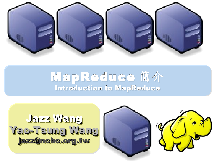

## MapReduce 簡介 Introduction to MapReduce

Jazz Wang Jazz Wang Yao-Tsung Wang jazz@nchc.org.tw Yao-Tsung Wang jazz@nchc.org.tw

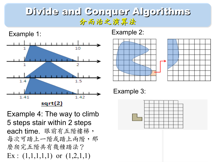#### Divide and Conquer Algorithms 分而治之演算法



Example 4: The way to climb 5 steps stair within 2 steps each time. 眼前有五階樓梯, 每次可踏上一階或踏上兩階,那 麼爬完五階共有幾種踏法? Ex :  $(1,1,1,1,1)$  or  $(1,2,1,1)$ 





Example 3:

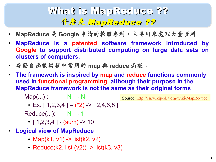## What is MapReduce ?? **什麼是 MapReduce ??**

- **MapReduce** 是 **Google** 申請的軟體專利,主要用來處理大量資料
- **MapReduce is a patented software framework introduced by Google to support distributed computing on large data sets on clusters of computers.**
- 啟發自函數編程中常用的 **map** 與 **reduce** 函數。
- **The framework is inspired by map and reduce functions commonly used in functional programming, although their purpose in the MapReduce framework is not the same as their original forms**
	- $-$  Map(...) :  $N \rightarrow N$

Source:<http://en.wikipedia.org/wiki/MapReduce>

- Ex.  $[1, 2, 3, 4] (2, 2) [2, 4, 6, 8]$
- $-$  Reduce(...):  $N \rightarrow 1$ 
	- $[1, 2, 3, 4]$  (sum) -> 10
- **Logical view of MapReduce**
	- Map(k1, v1) -> list(k2, v2)
	- Reduce(k2, list  $(v2)$ ) -> list(k3, v3)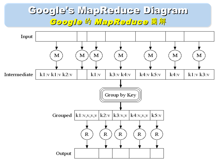### Google's MapReduce Diagram Google 的 MapReduce 圖解

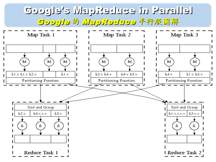## Google's MapReduce in Parallel Google 的 MapReduce 平行版圖解

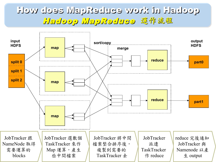#### How does MapReduce work in Hadoop Hadoop MapReduce 選作流程

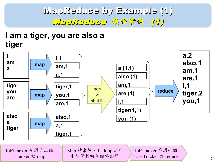MapReduce by Example (1) MapReduce 運作實例 (1)

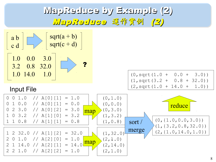MapReduce by Example (2) MapReduce 運作實例 (2)

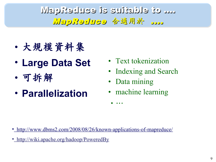## MapReduce is suitable to .... HapReduce 合適用於 .....

- 大規模資料集
- **Large Data Set**
- 可拆解
- **Parallelization**
- Text tokenization
- Indexing and Search
- Data mining

•…

machine learning

- •<http://www.dbms2.com/2008/08/26/known-applications-of-mapreduce/>
- http://wiki.apache.org/hadoop/PoweredBy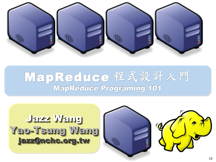

# MapReduce 程式設計入門 MapReduce Programing 101

Jazz Wang Jazz Wang Yao-Tsung Wang jazz@nchc.org.tw Yao-Tsung Wang jazz@nchc.org.tw

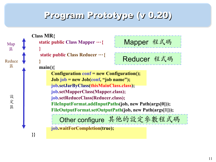#### Program Prototype (v 0.20)

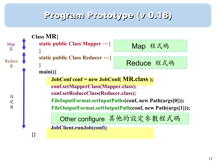#### Program Prototype (v 0.18)

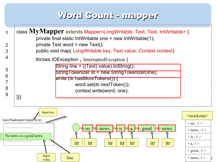#### Word Count - mapper

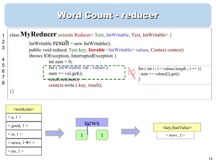#### Word Count - reducer

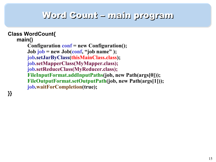#### Word Count – main program

```
Class WordCount{
main()
   Configuration conf = new Configuration();
   Job job = new Job(conf, "job name" );
   job.setJarByClass(thisMainClass.class);
   job.setMapperClass(MyMapper.class);
   job.setReduceClass(MyReducer.class);
   FileInputFormat.addInputPaths(job, new Path(args[0]));
   FileOutputFormat.setOutputPath(job, new Path(args[1]));
   job.waitForCompletion(true);
```
**}}**